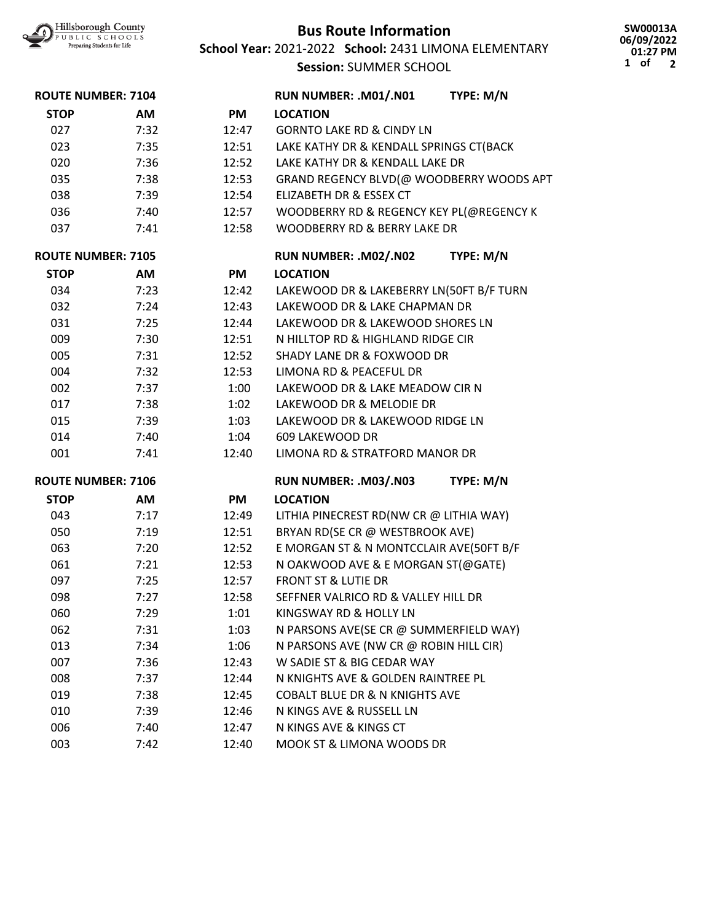

## **Bus Route Information**

**School Year:** 2021-2022 **School:** 2431 LIMONA ELEMENTARY

**Session:** SUMMER SCHOOL

**SW00013A 06/09/2022 01:27 PM 1 of 2**

| <b>ROUTE NUMBER: 7104</b> |      |           | RUN NUMBER: .M01/.N01                     | TYPE: M/N |
|---------------------------|------|-----------|-------------------------------------------|-----------|
| <b>STOP</b>               | AM   | PM        | <b>LOCATION</b>                           |           |
| 027                       | 7:32 | 12:47     | <b>GORNTO LAKE RD &amp; CINDY LN</b>      |           |
| 023                       | 7:35 | 12:51     | LAKE KATHY DR & KENDALL SPRINGS CT(BACK   |           |
| 020                       | 7:36 | 12:52     | LAKE KATHY DR & KENDALL LAKE DR           |           |
| 035                       | 7:38 | 12:53     | GRAND REGENCY BLVD(@ WOODBERRY WOODS APT  |           |
| 038                       | 7:39 | 12:54     | ELIZABETH DR & ESSEX CT                   |           |
| 036                       | 7:40 | 12:57     | WOODBERRY RD & REGENCY KEY PL(@REGENCY K  |           |
| 037                       | 7:41 | 12:58     | WOODBERRY RD & BERRY LAKE DR              |           |
| <b>ROUTE NUMBER: 7105</b> |      |           | RUN NUMBER: .M02/.N02                     | TYPE: M/N |
| <b>STOP</b>               | AM   | <b>PM</b> | <b>LOCATION</b>                           |           |
| 034                       | 7:23 | 12:42     | LAKEWOOD DR & LAKEBERRY LN(50FT B/F TURN  |           |
| 032                       | 7:24 | 12:43     | LAKEWOOD DR & LAKE CHAPMAN DR             |           |
| 031                       | 7:25 | 12:44     | LAKEWOOD DR & LAKEWOOD SHORES LN          |           |
| 009                       | 7:30 | 12:51     | N HILLTOP RD & HIGHLAND RIDGE CIR         |           |
| 005                       | 7:31 | 12:52     | <b>SHADY LANE DR &amp; FOXWOOD DR</b>     |           |
| 004                       | 7:32 | 12:53     | LIMONA RD & PEACEFUL DR                   |           |
| 002                       | 7:37 | 1:00      | LAKEWOOD DR & LAKE MEADOW CIR N           |           |
| 017                       | 7:38 | 1:02      | LAKEWOOD DR & MELODIE DR                  |           |
| 015                       | 7:39 | 1:03      | LAKEWOOD DR & LAKEWOOD RIDGE LN           |           |
| 014                       | 7:40 | 1:04      | 609 LAKEWOOD DR                           |           |
| 001                       | 7:41 | 12:40     | LIMONA RD & STRATFORD MANOR DR            |           |
| <b>ROUTE NUMBER: 7106</b> |      |           | RUN NUMBER: .M03/.N03                     | TYPE: M/N |
| <b>STOP</b>               | AM   | <b>PM</b> | <b>LOCATION</b>                           |           |
| 043                       | 7:17 | 12:49     | LITHIA PINECREST RD(NW CR @ LITHIA WAY)   |           |
| 050                       | 7:19 | 12:51     | BRYAN RD(SE CR @ WESTBROOK AVE)           |           |
| 063                       | 7:20 | 12:52     | E MORGAN ST & N MONTCCLAIR AVE(50FT B/F   |           |
| 061                       | 7:21 | 12:53     | N OAKWOOD AVE & E MORGAN ST(@GATE)        |           |
| 097                       | 7:25 | 12:57     | <b>FRONT ST &amp; LUTIE DR</b>            |           |
| 098                       | 7:27 | 12:58     | SEFFNER VALRICO RD & VALLEY HILL DR       |           |
| 060                       | 7:29 | 1:01      | KINGSWAY RD & HOLLY LN                    |           |
| 062                       | 7:31 | 1:03      | N PARSONS AVE(SE CR @ SUMMERFIELD WAY)    |           |
| 013                       | 7:34 | 1:06      | N PARSONS AVE (NW CR @ ROBIN HILL CIR)    |           |
| 007                       | 7:36 | 12:43     | W SADIE ST & BIG CEDAR WAY                |           |
| 008                       | 7:37 | 12:44     | N KNIGHTS AVE & GOLDEN RAINTREE PL        |           |
| 019                       | 7:38 | 12:45     | <b>COBALT BLUE DR &amp; N KNIGHTS AVE</b> |           |
| 010                       | 7:39 | 12:46     | N KINGS AVE & RUSSELL LN                  |           |
| 006                       | 7:40 | 12:47     | N KINGS AVE & KINGS CT                    |           |
| 003                       | 7:42 | 12:40     | MOOK ST & LIMONA WOODS DR                 |           |